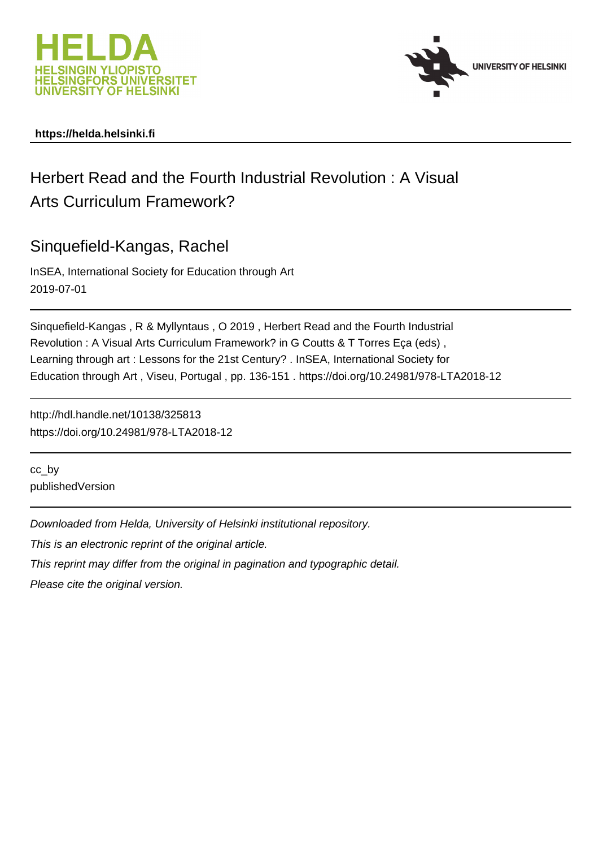



# **https://helda.helsinki.fi**

# Herbert Read and the Fourth Industrial Revolution : A Visual Arts Curriculum Framework?

Sinquefield-Kangas, Rachel

InSEA, International Society for Education through Art 2019-07-01

Sinquefield-Kangas , R & Myllyntaus , O 2019 , Herbert Read and the Fourth Industrial Revolution : A Visual Arts Curriculum Framework? in G Coutts & T Torres Eça (eds) , Learning through art : Lessons for the 21st Century? . InSEA, International Society for Education through Art , Viseu, Portugal , pp. 136-151 . https://doi.org/10.24981/978-LTA2018-12

http://hdl.handle.net/10138/325813 https://doi.org/10.24981/978-LTA2018-12

cc\_by publishedVersion

Downloaded from Helda, University of Helsinki institutional repository.

This is an electronic reprint of the original article.

This reprint may differ from the original in pagination and typographic detail.

Please cite the original version.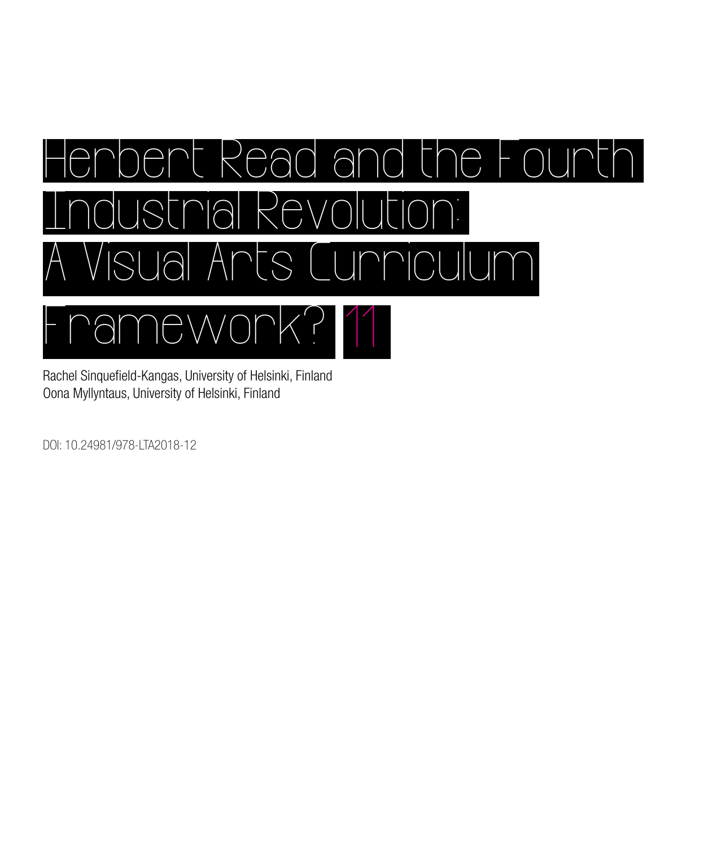

Rachel Sinquefield-Kangas, University of Helsinki, Finland Oona Myllyntaus, University of Helsinki, Finland

DOI: 10.24981/978-LTA2018-12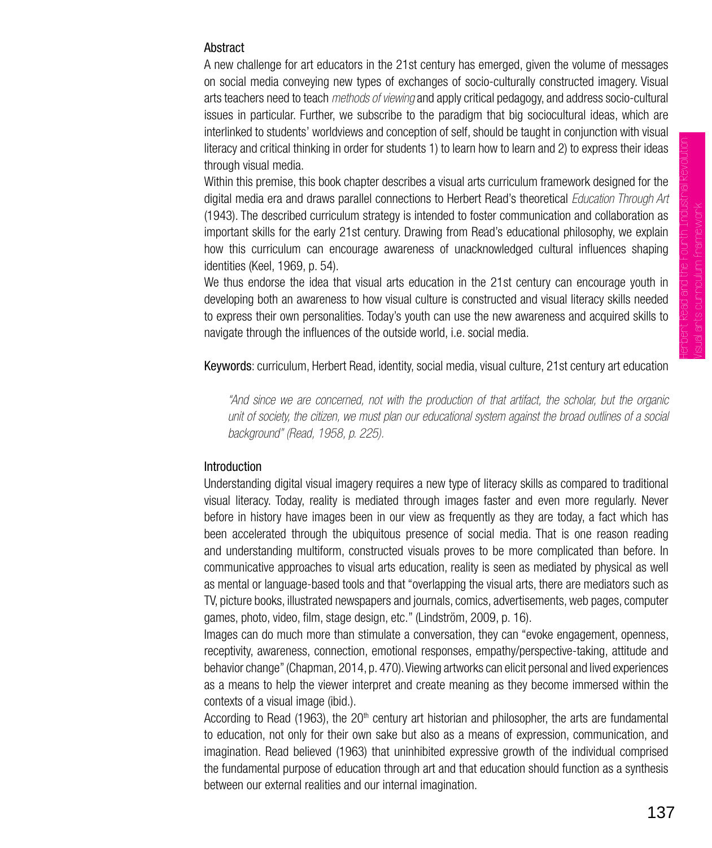## Abstract

A new challenge for art educators in the 21st century has emerged, given the volume of messages on social media conveying new types of exchanges of socio-culturally constructed imagery. Visual arts teachers need to teach *methods of viewing* and apply critical pedagogy, and address socio-cultural issues in particular. Further, we subscribe to the paradigm that big sociocultural ideas, which are interlinked to students' worldviews and conception of self, should be taught in conjunction with visual literacy and critical thinking in order for students 1) to learn how to learn and 2) to express their ideas through visual media.

Within this premise, this book chapter describes a visual arts curriculum framework designed for the digital media era and draws parallel connections to Herbert Read's theoretical *Education Through Art*  (1943). The described curriculum strategy is intended to foster communication and collaboration as important skills for the early 21st century. Drawing from Read's educational philosophy, we explain how this curriculum can encourage awareness of unacknowledged cultural influences shaping identities (Keel, 1969, p. 54).

We thus endorse the idea that visual arts education in the 21st century can encourage youth in developing both an awareness to how visual culture is constructed and visual literacy skills needed to express their own personalities. Today's youth can use the new awareness and acquired skills to navigate through the influences of the outside world, i.e. social media.

Keywords: curriculum, Herbert Read, identity, social media, visual culture, 21st century art education

*"And since we are concerned, not with the production of that artifact, the scholar, but the organic unit of society, the citizen, we must plan our educational system against the broad outlines of a social background" (Read, 1958, p. 225).* 

#### **Introduction**

Understanding digital visual imagery requires a new type of literacy skills as compared to traditional visual literacy. Today, reality is mediated through images faster and even more regularly. Never before in history have images been in our view as frequently as they are today, a fact which has been accelerated through the ubiquitous presence of social media. That is one reason reading and understanding multiform, constructed visuals proves to be more complicated than before. In communicative approaches to visual arts education, reality is seen as mediated by physical as well as mental or language-based tools and that "overlapping the visual arts, there are mediators such as TV, picture books, illustrated newspapers and journals, comics, advertisements, web pages, computer games, photo, video, film, stage design, etc." (Lindström, 2009, p. 16).

Images can do much more than stimulate a conversation, they can "evoke engagement, openness, receptivity, awareness, connection, emotional responses, empathy/perspective-taking, attitude and behavior change" (Chapman, 2014, p. 470). Viewing artworks can elicit personal and lived experiences as a means to help the viewer interpret and create meaning as they become immersed within the contexts of a visual image (ibid.).

According to Read (1963), the  $20<sup>th</sup>$  century art historian and philosopher, the arts are fundamental to education, not only for their own sake but also as a means of expression, communication, and imagination. Read believed (1963) that uninhibited expressive growth of the individual comprised the fundamental purpose of education through art and that education should function as a synthesis between our external realities and our internal imagination.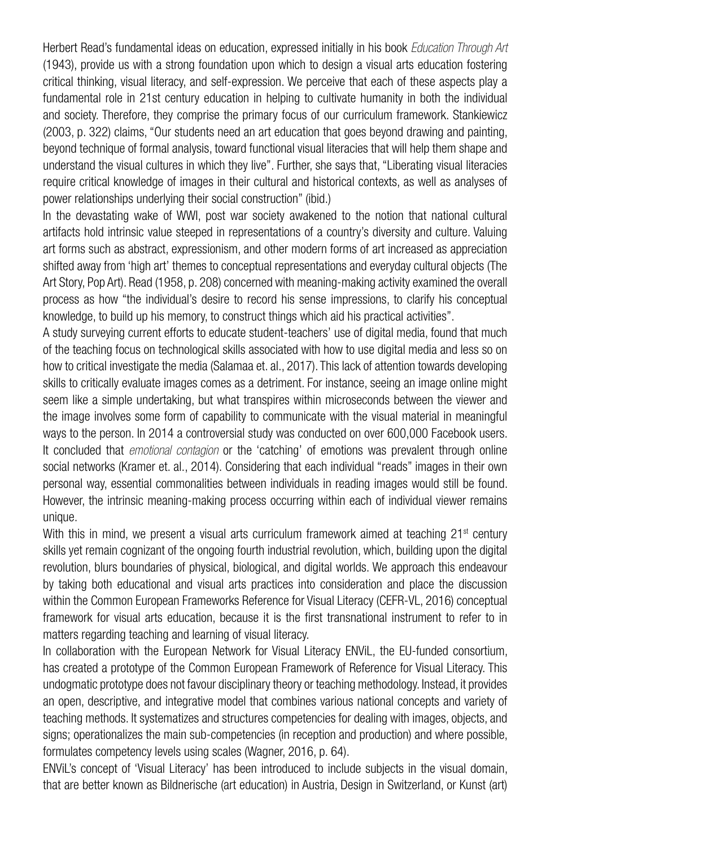Herbert Read's fundamental ideas on education, expressed initially in his book *Education Through Art* (1943), provide us with a strong foundation upon which to design a visual arts education fostering critical thinking, visual literacy, and self-expression. We perceive that each of these aspects play a fundamental role in 21st century education in helping to cultivate humanity in both the individual and society. Therefore, they comprise the primary focus of our curriculum framework. Stankiewicz (2003, p. 322) claims, "Our students need an art education that goes beyond drawing and painting, beyond technique of formal analysis, toward functional visual literacies that will help them shape and understand the visual cultures in which they live". Further, she says that, "Liberating visual literacies require critical knowledge of images in their cultural and historical contexts, as well as analyses of power relationships underlying their social construction" (ibid.)

In the devastating wake of WWI, post war society awakened to the notion that national cultural artifacts hold intrinsic value steeped in representations of a country's diversity and culture. Valuing art forms such as abstract, expressionism, and other modern forms of art increased as appreciation shifted away from 'high art' themes to conceptual representations and everyday cultural objects (The Art Story, Pop Art). Read (1958, p. 208) concerned with meaning-making activity examined the overall process as how "the individual's desire to record his sense impressions, to clarify his conceptual knowledge, to build up his memory, to construct things which aid his practical activities".

A study surveying current efforts to educate student-teachers' use of digital media, found that much of the teaching focus on technological skills associated with how to use digital media and less so on how to critical investigate the media (Salamaa et. al., 2017). This lack of attention towards developing skills to critically evaluate images comes as a detriment. For instance, seeing an image online might seem like a simple undertaking, but what transpires within microseconds between the viewer and the image involves some form of capability to communicate with the visual material in meaningful ways to the person. In 2014 a controversial study was conducted on over 600,000 Facebook users. It concluded that *emotional contagion* or the 'catching' of emotions was prevalent through online social networks (Kramer et. al., 2014). Considering that each individual "reads" images in their own personal way, essential commonalities between individuals in reading images would still be found. However, the intrinsic meaning-making process occurring within each of individual viewer remains unique.

With this in mind, we present a visual arts curriculum framework aimed at teaching  $21<sup>st</sup>$  century skills yet remain cognizant of the ongoing fourth industrial revolution, which, building upon the digital revolution, blurs boundaries of physical, biological, and digital worlds. We approach this endeavour by taking both educational and visual arts practices into consideration and place the discussion within the Common European Frameworks Reference for Visual Literacy (CEFR-VL, 2016) conceptual framework for visual arts education, because it is the first transnational instrument to refer to in matters regarding teaching and learning of visual literacy.

In collaboration with the European Network for Visual Literacy ENViL, the EU-funded consortium, has created a prototype of the Common European Framework of Reference for Visual Literacy. This undogmatic prototype does not favour disciplinary theory or teaching methodology. Instead, it provides an open, descriptive, and integrative model that combines various national concepts and variety of teaching methods. It systematizes and structures competencies for dealing with images, objects, and signs; operationalizes the main sub-competencies (in reception and production) and where possible, formulates competency levels using scales (Wagner, 2016, p. 64).

ENViL's concept of 'Visual Literacy' has been introduced to include subjects in the visual domain, that are better known as Bildnerische (art education) in Austria, Design in Switzerland, or Kunst (art)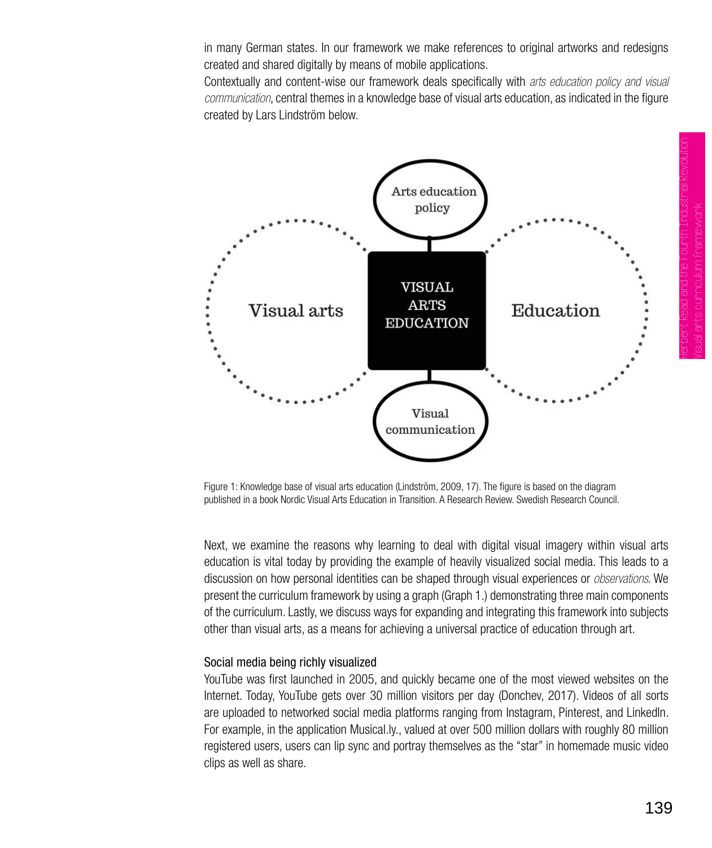in many German states. In our framework we make references to original artworks and redesigns created and shared digitally by means of mobile applications.

Contextually and content-wise our framework deals specifically with *arts education policy and visual communication*, central themes in a knowledge base of visual arts education, as indicated in the figure created by Lars Lindström below.





Next, we examine the reasons why learning to deal with digital visual imagery within visual arts education is vital today by providing the example of heavily visualized social media. This leads to a discussion on how personal identities can be shaped through visual experiences or *observations*. We present the curriculum framework by using a graph (Graph 1.) demonstrating three main components of the curriculum. Lastly, we discuss ways for expanding and integrating this framework into subjects other than visual arts, as a means for achieving a universal practice of education through art.

#### Social media being richly visualized

YouTube was first launched in 2005, and quickly became one of the most viewed websites on the Internet. Today, YouTube gets over 30 million visitors per day (Donchev, 2017). Videos of all sorts are uploaded to networked social media platforms ranging from Instagram, Pinterest, and LinkedIn. For example, in the application Musical.ly., valued at over 500 million dollars with roughly 80 million registered users, users can lip sync and portray themselves as the "star" in homemade music video clips as well as share.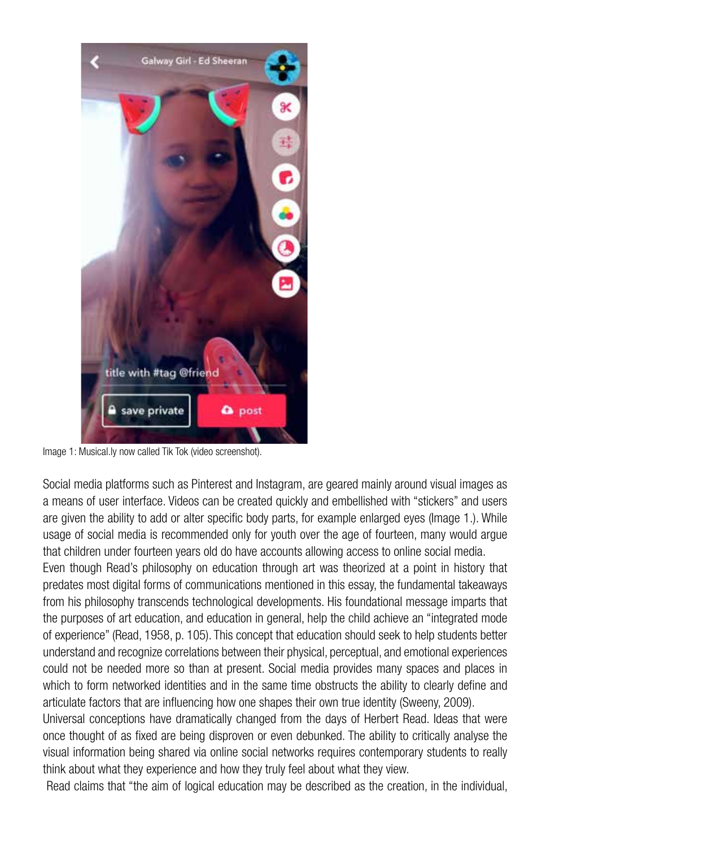

Image 1: Musical.ly now called Tik Tok (video screenshot).

Social media platforms such as Pinterest and Instagram, are geared mainly around visual images as a means of user interface. Videos can be created quickly and embellished with "stickers" and users are given the ability to add or alter specific body parts, for example enlarged eyes (Image 1.). While usage of social media is recommended only for youth over the age of fourteen, many would argue that children under fourteen years old do have accounts allowing access to online social media.

Even though Read's philosophy on education through art was theorized at a point in history that predates most digital forms of communications mentioned in this essay, the fundamental takeaways from his philosophy transcends technological developments. His foundational message imparts that the purposes of art education, and education in general, help the child achieve an "integrated mode of experience" (Read, 1958, p. 105). This concept that education should seek to help students better understand and recognize correlations between their physical, perceptual, and emotional experiences could not be needed more so than at present. Social media provides many spaces and places in which to form networked identities and in the same time obstructs the ability to clearly define and articulate factors that are influencing how one shapes their own true identity (Sweeny, 2009).

Universal conceptions have dramatically changed from the days of Herbert Read. Ideas that were once thought of as fixed are being disproven or even debunked. The ability to critically analyse the visual information being shared via online social networks requires contemporary students to really think about what they experience and how they truly feel about what they view.

Read claims that "the aim of logical education may be described as the creation, in the individual,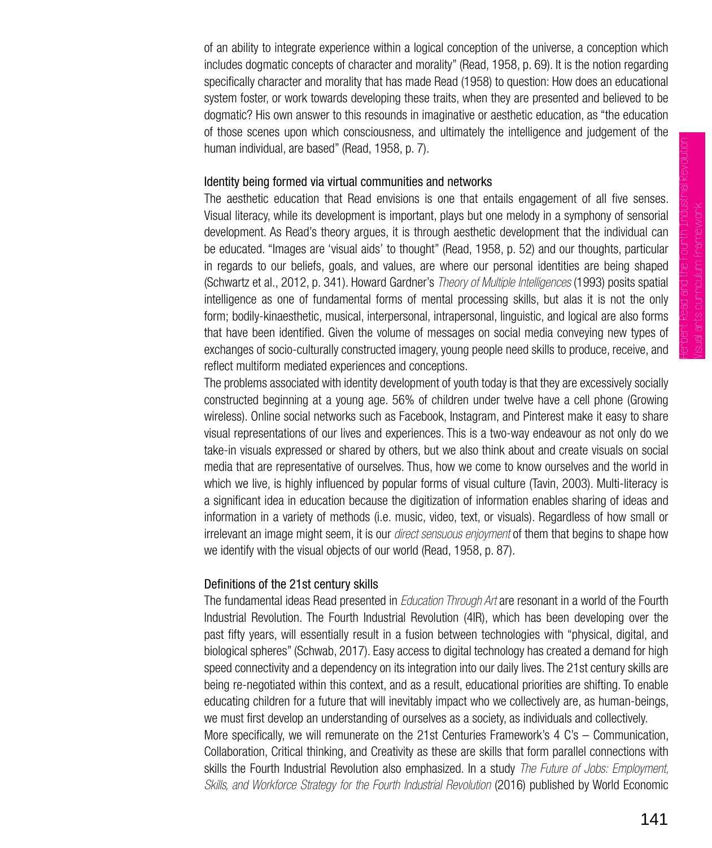Herbert Read and the Fourth Industrial Revolution: Visual arts curriculum framework

of an ability to integrate experience within a logical conception of the universe, a conception which includes dogmatic concepts of character and morality" (Read, 1958, p. 69). It is the notion regarding specifically character and morality that has made Read (1958) to question: How does an educational system foster, or work towards developing these traits, when they are presented and believed to be dogmatic? His own answer to this resounds in imaginative or aesthetic education, as "the education of those scenes upon which consciousness, and ultimately the intelligence and judgement of the human individual, are based" (Read, 1958, p. 7).

## Identity being formed via virtual communities and networks

The aesthetic education that Read envisions is one that entails engagement of all five senses. Visual literacy, while its development is important, plays but one melody in a symphony of sensorial development. As Read's theory argues, it is through aesthetic development that the individual can be educated. "Images are 'visual aids' to thought" (Read, 1958, p. 52) and our thoughts, particular in regards to our beliefs, goals, and values, are where our personal identities are being shaped (Schwartz et al., 2012, p. 341). Howard Gardner's *Theory of Multiple Intelligences* (1993) posits spatial intelligence as one of fundamental forms of mental processing skills, but alas it is not the only form; bodily-kinaesthetic, musical, interpersonal, intrapersonal, linguistic, and logical are also forms that have been identified. Given the volume of messages on social media conveying new types of exchanges of socio-culturally constructed imagery, young people need skills to produce, receive, and reflect multiform mediated experiences and conceptions.

The problems associated with identity development of youth today is that they are excessively socially constructed beginning at a young age. 56% of children under twelve have a cell phone (Growing wireless). Online social networks such as Facebook, Instagram, and Pinterest make it easy to share visual representations of our lives and experiences. This is a two-way endeavour as not only do we take-in visuals expressed or shared by others, but we also think about and create visuals on social media that are representative of ourselves. Thus, how we come to know ourselves and the world in which we live, is highly influenced by popular forms of visual culture (Tavin, 2003). Multi-literacy is a significant idea in education because the digitization of information enables sharing of ideas and information in a variety of methods (i.e. music, video, text, or visuals). Regardless of how small or irrelevant an image might seem, it is our *direct sensuous enjoyment* of them that begins to shape how we identify with the visual objects of our world (Read, 1958, p. 87).

## Definitions of the 21st century skills

The fundamental ideas Read presented in *Education Through Art* are resonant in a world of the Fourth Industrial Revolution. The Fourth Industrial Revolution (4IR), which has been developing over the past fifty years, will essentially result in a fusion between technologies with "physical, digital, and biological spheres" (Schwab, 2017). Easy access to digital technology has created a demand for high speed connectivity and a dependency on its integration into our daily lives. The 21st century skills are being re-negotiated within this context, and as a result, educational priorities are shifting. To enable educating children for a future that will inevitably impact who we collectively are, as human-beings, we must first develop an understanding of ourselves as a society, as individuals and collectively. More specifically, we will remunerate on the 21st Centuries Framework's 4 C's – Communication, Collaboration, Critical thinking, and Creativity as these are skills that form parallel connections with skills the Fourth Industrial Revolution also emphasized. In a study *The Future of Jobs: Employment, Skills, and Workforce Strategy for the Fourth Industrial Revolution* (2016) published by World Economic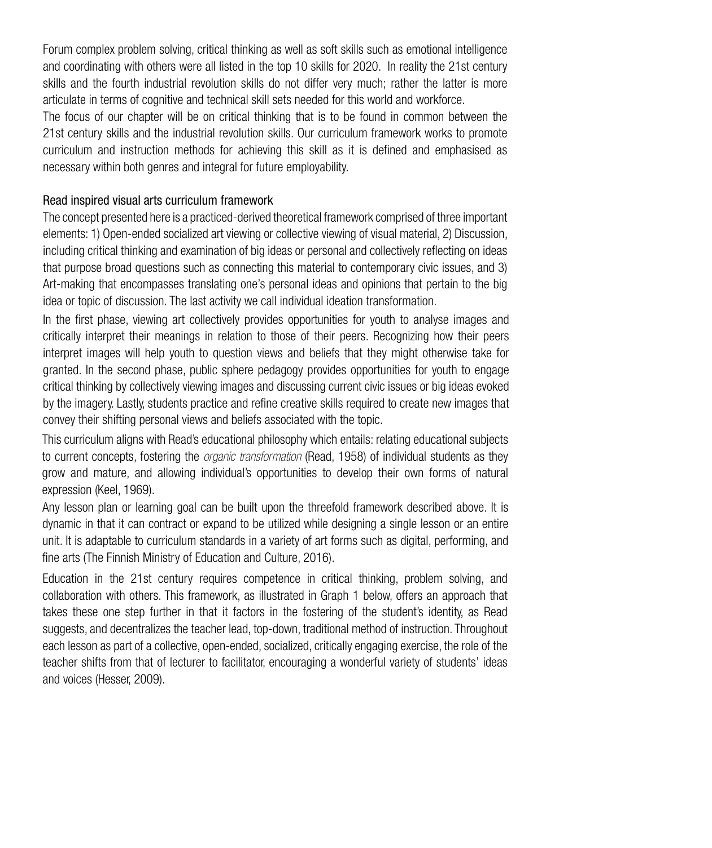Forum complex problem solving, critical thinking as well as soft skills such as emotional intelligence and coordinating with others were all listed in the top 10 skills for 2020. In reality the 21st century skills and the fourth industrial revolution skills do not differ very much; rather the latter is more articulate in terms of cognitive and technical skill sets needed for this world and workforce.

The focus of our chapter will be on critical thinking that is to be found in common between the 21st century skills and the industrial revolution skills. Our curriculum framework works to promote curriculum and instruction methods for achieving this skill as it is defined and emphasised as necessary within both genres and integral for future employability.

#### Read inspired visual arts curriculum framework

The concept presented here is a practiced-derived theoretical framework comprised of three important elements: 1) Open-ended socialized art viewing or collective viewing of visual material, 2) Discussion, including critical thinking and examination of big ideas or personal and collectively reflecting on ideas that purpose broad questions such as connecting this material to contemporary civic issues, and 3) Art-making that encompasses translating one's personal ideas and opinions that pertain to the big idea or topic of discussion. The last activity we call individual ideation transformation.

 convey their shifting personal views and beliefs associated with the topic. In the first phase, viewing art collectively provides opportunities for youth to analyse images and critically interpret their meanings in relation to those of their peers. Recognizing how their peers interpret images will help youth to question views and beliefs that they might otherwise take for granted. In the second phase, public sphere pedagogy provides opportunities for youth to engage critical thinking by collectively viewing images and discussing current civic issues or big ideas evoked by the imagery. Lastly, students practice and refine creative skills required to create new images that

This curriculum aligns with Read's educational philosophy which entails: relating educational subjects to current concepts, fostering the *organic transformation* (Read, 1958) of individual students as they grow and mature, and allowing individual's opportunities to develop their own forms of natural expression (Keel, 1969).

Any lesson plan or learning goal can be built upon the threefold framework described above. It is dynamic in that it can contract or expand to be utilized while designing a single lesson or an entire unit. It is adaptable to curriculum standards in a variety of art forms such as digital, performing, and fine arts (The Finnish Ministry of Education and Culture, 2016).

Education in the 21st century requires competence in critical thinking, problem solving, and collaboration with others. This framework, as illustrated in Graph 1 below, offers an approach that takes these one step further in that it factors in the fostering of the student's identity, as Read suggests, and decentralizes the teacher lead, top-down, traditional method of instruction. Throughout each lesson as part of a collective, open-ended, socialized, critically engaging exercise, the role of the teacher shifts from that of lecturer to facilitator, encouraging a wonderful variety of students' ideas and voices (Hesser, 2009).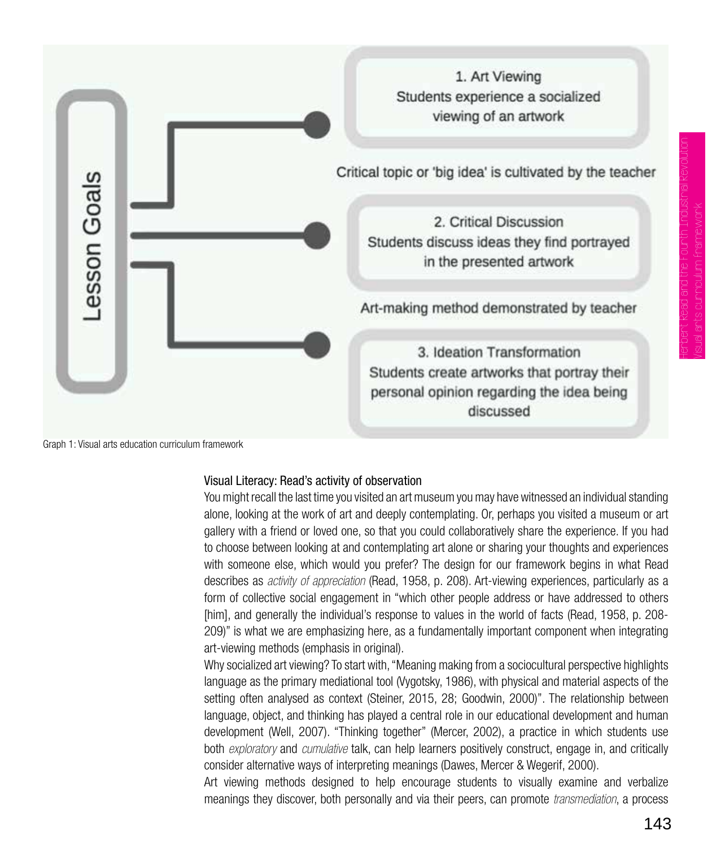

Graph 1: Visual arts education curriculum framework

#### Visual Literacy: Read's activity of observation

You might recall the last time you visited an art museum you may have witnessed an individual standing alone, looking at the work of art and deeply contemplating. Or, perhaps you visited a museum or art gallery with a friend or loved one, so that you could collaboratively share the experience. If you had to choose between looking at and contemplating art alone or sharing your thoughts and experiences with someone else, which would you prefer? The design for our framework begins in what Read describes as *activity of appreciation* (Read, 1958, p. 208). Art-viewing experiences, particularly as a form of collective social engagement in "which other people address or have addressed to others [him], and generally the individual's response to values in the world of facts (Read, 1958, p. 208- 209)" is what we are emphasizing here, as a fundamentally important component when integrating art-viewing methods (emphasis in original).

Why socialized art viewing? To start with, "Meaning making from a sociocultural perspective highlights language as the primary mediational tool (Vygotsky, 1986), with physical and material aspects of the setting often analysed as context (Steiner, 2015, 28; Goodwin, 2000)". The relationship between language, object, and thinking has played a central role in our educational development and human development (Well, 2007). "Thinking together" (Mercer, 2002), a practice in which students use both *exploratory* and *cumulative* talk, can help learners positively construct, engage in, and critically consider alternative ways of interpreting meanings (Dawes, Mercer & Wegerif, 2000).

Art viewing methods designed to help encourage students to visually examine and verbalize meanings they discover, both personally and via their peers, can promote *transmediation*, a process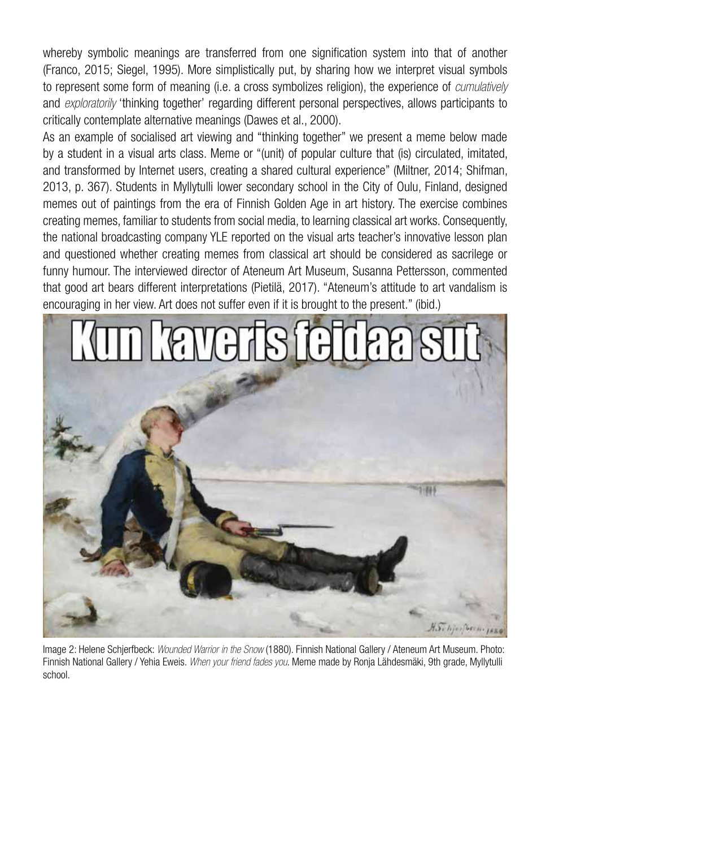whereby symbolic meanings are transferred from one signification system into that of another (Franco, 2015; Siegel, 1995). More simplistically put, by sharing how we interpret visual symbols to represent some form of meaning (i.e. a cross symbolizes religion), the experience of *cumulatively* and *exploratorily* 'thinking together' regarding different personal perspectives, allows participants to critically contemplate alternative meanings (Dawes et al., 2000).

As an example of socialised art viewing and "thinking together" we present a meme below made by a student in a visual arts class. Meme or "(unit) of popular culture that (is) circulated, imitated, and transformed by Internet users, creating a shared cultural experience" (Miltner, 2014; Shifman, 2013, p. 367). Students in Myllytulli lower secondary school in the City of Oulu, Finland, designed memes out of paintings from the era of Finnish Golden Age in art history. The exercise combines creating memes, familiar to students from social media, to learning classical art works. Consequently, the national broadcasting company YLE reported on the visual arts teacher's innovative lesson plan and questioned whether creating memes from classical art should be considered as sacrilege or funny humour. The interviewed director of Ateneum Art Museum, Susanna Pettersson, commented that good art bears different interpretations (Pietilä, 2017). "Ateneum's attitude to art vandalism is encouraging in her view. Art does not suffer even if it is brought to the present." (ibid.)



Image 2: Helene Schjerfbeck: *Wounded Warrior in the Snow* (1880). Finnish National Gallery / Ateneum Art Museum. Photo: Finnish National Gallery / Yehia Eweis. *When your friend fades you*. Meme made by Ronja Lähdesmäki, 9th grade, Myllytulli school.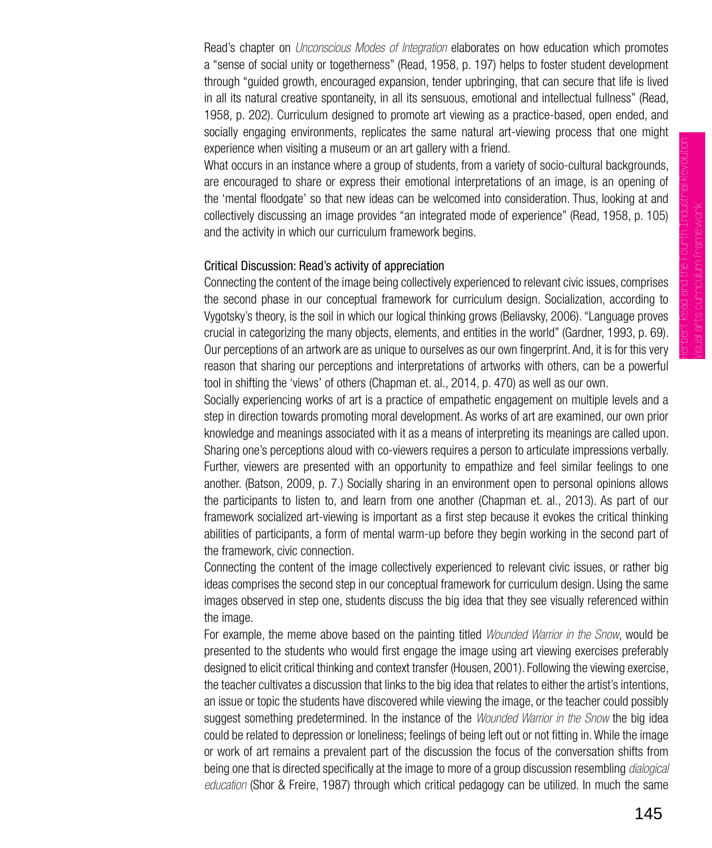Read's chapter on *Unconscious Modes of Integration* elaborates on how education which promotes a "sense of social unity or togetherness" (Read, 1958, p. 197) helps to foster student development through "guided growth, encouraged expansion, tender upbringing, that can secure that life is lived in all its natural creative spontaneity, in all its sensuous, emotional and intellectual fullness" (Read, 1958, p. 202). Curriculum designed to promote art viewing as a practice-based, open ended, and socially engaging environments, replicates the same natural art-viewing process that one might experience when visiting a museum or an art gallery with a friend.

What occurs in an instance where a group of students, from a variety of socio-cultural backgrounds, are encouraged to share or express their emotional interpretations of an image, is an opening of the 'mental floodgate' so that new ideas can be welcomed into consideration. Thus, looking at and collectively discussing an image provides "an integrated mode of experience" (Read, 1958, p. 105) and the activity in which our curriculum framework begins.

#### Critical Discussion: Read's activity of appreciation

Connecting the content of the image being collectively experienced to relevant civic issues, comprises the second phase in our conceptual framework for curriculum design. Socialization, according to Vygotsky's theory, is the soil in which our logical thinking grows (Beliavsky, 2006). "Language proves crucial in categorizing the many objects, elements, and entities in the world" (Gardner, 1993, p. 69). Our perceptions of an artwork are as unique to ourselves as our own fingerprint. And, it is for this very reason that sharing our perceptions and interpretations of artworks with others, can be a powerful tool in shifting the 'views' of others (Chapman et. al., 2014, p. 470) as well as our own.

Socially experiencing works of art is a practice of empathetic engagement on multiple levels and a step in direction towards promoting moral development. As works of art are examined, our own prior knowledge and meanings associated with it as a means of interpreting its meanings are called upon. Sharing one's perceptions aloud with co-viewers requires a person to articulate impressions verbally. Further, viewers are presented with an opportunity to empathize and feel similar feelings to one another. (Batson, 2009, p. 7.) Socially sharing in an environment open to personal opinions allows the participants to listen to, and learn from one another (Chapman et. al., 2013). As part of our framework socialized art-viewing is important as a first step because it evokes the critical thinking abilities of participants, a form of mental warm-up before they begin working in the second part of the framework, civic connection.

Connecting the content of the image collectively experienced to relevant civic issues, or rather big ideas comprises the second step in our conceptual framework for curriculum design. Using the same images observed in step one, students discuss the big idea that they see visually referenced within the image.

For example, the meme above based on the painting titled *Wounded Warrior in the Snow*, would be presented to the students who would first engage the image using art viewing exercises preferably designed to elicit critical thinking and context transfer (Housen, 2001). Following the viewing exercise, the teacher cultivates a discussion that links to the big idea that relates to either the artist's intentions, an issue or topic the students have discovered while viewing the image, or the teacher could possibly suggest something predetermined. In the instance of the *Wounded Warrior in the Snow* the big idea could be related to depression or loneliness; feelings of being left out or not fitting in. While the image or work of art remains a prevalent part of the discussion the focus of the conversation shifts from being one that is directed specifically at the image to more of a group discussion resembling *dialogical education* (Shor & Freire, 1987) through which critical pedagogy can be utilized. In much the same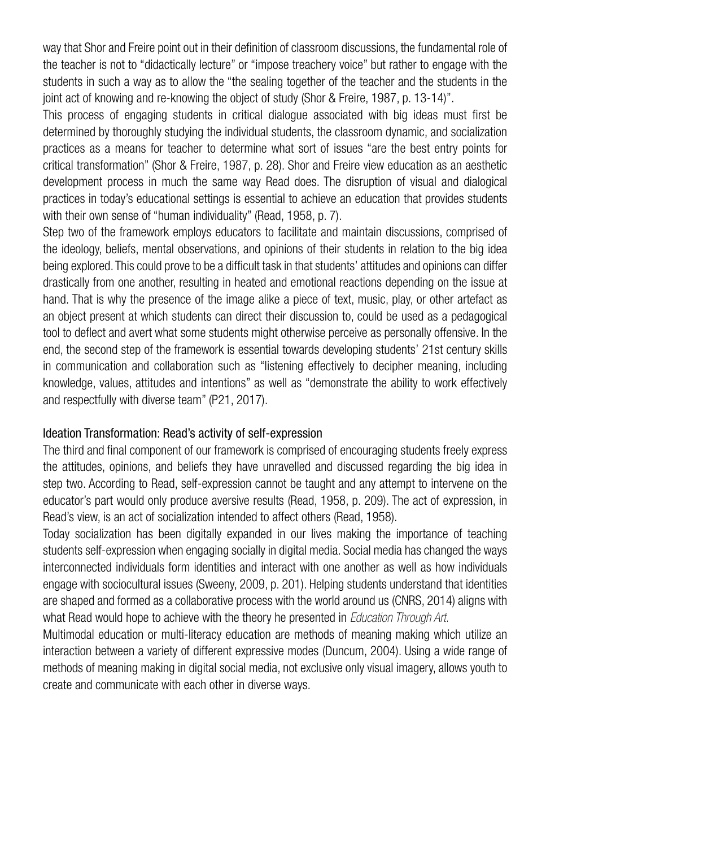way that Shor and Freire point out in their definition of classroom discussions, the fundamental role of the teacher is not to "didactically lecture" or "impose treachery voice" but rather to engage with the students in such a way as to allow the "the sealing together of the teacher and the students in the joint act of knowing and re-knowing the object of study (Shor & Freire, 1987, p. 13-14)".

This process of engaging students in critical dialogue associated with big ideas must first be determined by thoroughly studying the individual students, the classroom dynamic, and socialization practices as a means for teacher to determine what sort of issues "are the best entry points for critical transformation" (Shor & Freire, 1987, p. 28). Shor and Freire view education as an aesthetic development process in much the same way Read does. The disruption of visual and dialogical practices in today's educational settings is essential to achieve an education that provides students with their own sense of "human individuality" (Read, 1958, p. 7).

Step two of the framework employs educators to facilitate and maintain discussions, comprised of the ideology, beliefs, mental observations, and opinions of their students in relation to the big idea being explored. This could prove to be a difficult task in that students' attitudes and opinions can differ drastically from one another, resulting in heated and emotional reactions depending on the issue at hand. That is why the presence of the image alike a piece of text, music, play, or other artefact as an object present at which students can direct their discussion to, could be used as a pedagogical tool to deflect and avert what some students might otherwise perceive as personally offensive. In the end, the second step of the framework is essential towards developing students' 21st century skills in communication and collaboration such as "listening effectively to decipher meaning, including knowledge, values, attitudes and intentions" as well as "demonstrate the ability to work effectively and respectfully with diverse team" (P21, 2017).

#### Ideation Transformation: Read's activity of self-expression

The third and final component of our framework is comprised of encouraging students freely express the attitudes, opinions, and beliefs they have unravelled and discussed regarding the big idea in step two. According to Read, self-expression cannot be taught and any attempt to intervene on the educator's part would only produce aversive results (Read, 1958, p. 209). The act of expression, in Read's view, is an act of socialization intended to affect others (Read, 1958).

Today socialization has been digitally expanded in our lives making the importance of teaching students self-expression when engaging socially in digital media. Social media has changed the ways interconnected individuals form identities and interact with one another as well as how individuals engage with sociocultural issues (Sweeny, 2009, p. 201). Helping students understand that identities are shaped and formed as a collaborative process with the world around us (CNRS, 2014) aligns with what Read would hope to achieve with the theory he presented in *Education Through Art.*

Multimodal education or multi-literacy education are methods of meaning making which utilize an interaction between a variety of different expressive modes (Duncum, 2004). Using a wide range of methods of meaning making in digital social media, not exclusive only visual imagery, allows youth to create and communicate with each other in diverse ways.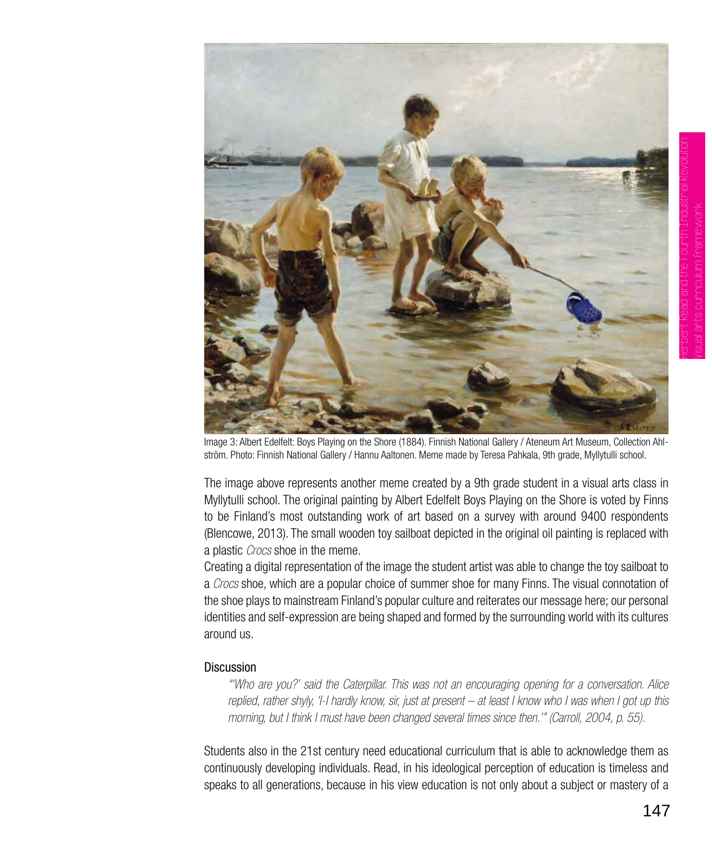

Image 3: Albert Edelfelt: Boys Playing on the Shore (1884). Finnish National Gallery / Ateneum Art Museum, Collection Ahlström. Photo: Finnish National Gallery / Hannu Aaltonen. Meme made by Teresa Pahkala, 9th grade, Myllytulli school.

The image above represents another meme created by a 9th grade student in a visual arts class in Myllytulli school. The original painting by Albert Edelfelt Boys Playing on the Shore is voted by Finns to be Finland's most outstanding work of art based on a survey with around 9400 respondents (Blencowe, 2013). The small wooden toy sailboat depicted in the original oil painting is replaced with a plastic *Crocs* shoe in the meme.

Creating a digital representation of the image the student artist was able to change the toy sailboat to a *Crocs* shoe, which are a popular choice of summer shoe for many Finns. The visual connotation of the shoe plays to mainstream Finland's popular culture and reiterates our message here; our personal identities and self-expression are being shaped and formed by the surrounding world with its cultures around us.

## Discussion

*"'Who are you?' said the Caterpillar. This was not an encouraging opening for a conversation. Alice replied, rather shyly, 'I-I hardly know, sir, just at present – at least I know who I was when I got up this morning, but I think I must have been changed several times since then.'" (Carroll, 2004, p. 55).*

Students also in the 21st century need educational curriculum that is able to acknowledge them as continuously developing individuals. Read, in his ideological perception of education is timeless and speaks to all generations, because in his view education is not only about a subject or mastery of a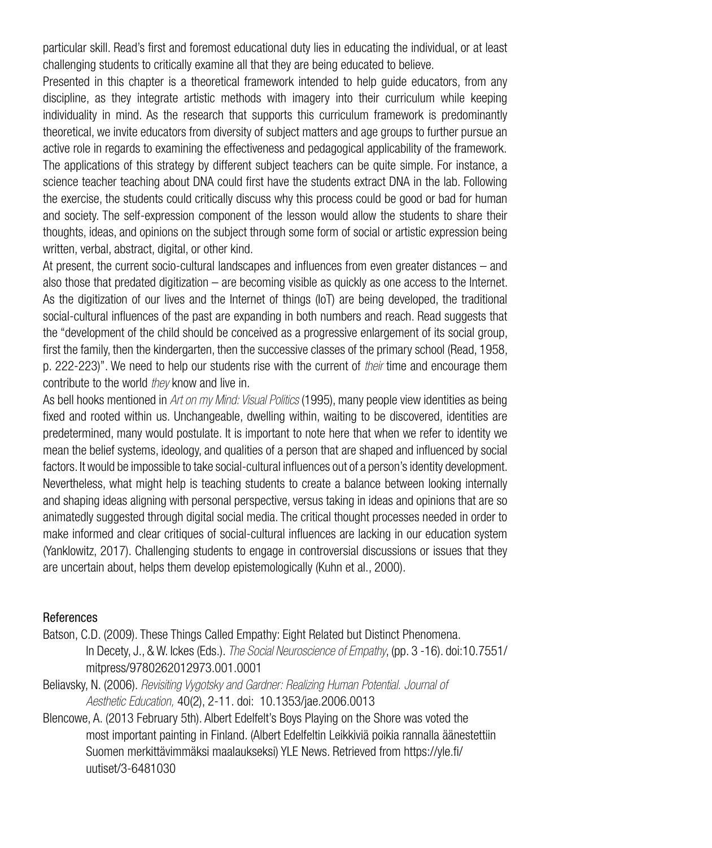particular skill. Read's first and foremost educational duty lies in educating the individual, or at least challenging students to critically examine all that they are being educated to believe.

Presented in this chapter is a theoretical framework intended to help guide educators, from any discipline, as they integrate artistic methods with imagery into their curriculum while keeping individuality in mind. As the research that supports this curriculum framework is predominantly theoretical, we invite educators from diversity of subject matters and age groups to further pursue an active role in regards to examining the effectiveness and pedagogical applicability of the framework. The applications of this strategy by different subject teachers can be quite simple. For instance, a science teacher teaching about DNA could first have the students extract DNA in the lab. Following the exercise, the students could critically discuss why this process could be good or bad for human and society. The self-expression component of the lesson would allow the students to share their thoughts, ideas, and opinions on the subject through some form of social or artistic expression being written, verbal, abstract, digital, or other kind.

At present, the current socio-cultural landscapes and influences from even greater distances – and also those that predated digitization – are becoming visible as quickly as one access to the Internet. As the digitization of our lives and the Internet of things (IoT) are being developed, the traditional social-cultural influences of the past are expanding in both numbers and reach. Read suggests that the "development of the child should be conceived as a progressive enlargement of its social group, first the family, then the kindergarten, then the successive classes of the primary school (Read, 1958, p. 222-223)". We need to help our students rise with the current of *their* time and encourage them contribute to the world *they* know and live in.

As bell hooks mentioned in *Art on my Mind: Visual Politics* (1995), many people view identities as being fixed and rooted within us. Unchangeable, dwelling within, waiting to be discovered, identities are predetermined, many would postulate. It is important to note here that when we refer to identity we mean the belief systems, ideology, and qualities of a person that are shaped and influenced by social factors. It would be impossible to take social-cultural influences out of a person's identity development. Nevertheless, what might help is teaching students to create a balance between looking internally and shaping ideas aligning with personal perspective, versus taking in ideas and opinions that are so animatedly suggested through digital social media. The critical thought processes needed in order to make informed and clear critiques of social-cultural influences are lacking in our education system (Yanklowitz, 2017). Challenging students to engage in controversial discussions or issues that they are uncertain about, helps them develop epistemologically (Kuhn et al., 2000).

#### References

- Batson, C.D. (2009). These Things Called Empathy: Eight Related but Distinct Phenomena. In Decety, J., & W. Ickes (Eds.). *The Social Neuroscience of Empathy*, (pp. 3 -16). doi:10.7551/ mitpress/9780262012973.001.0001
- Beliavsky, N. (2006). *Revisiting Vygotsky and Gardner: Realizing Human Potential. Journal of Aesthetic Education,* 40(2), 2-11. doi: 10.1353/jae.2006.0013
- Blencowe, A. (2013 February 5th). Albert Edelfelt's Boys Playing on the Shore was voted the most important painting in Finland. (Albert Edelfeltin Leikkiviä poikia rannalla äänestettiin Suomen merkittävimmäksi maalaukseksi) YLE News. Retrieved from https://yle.fi/ uutiset/3-6481030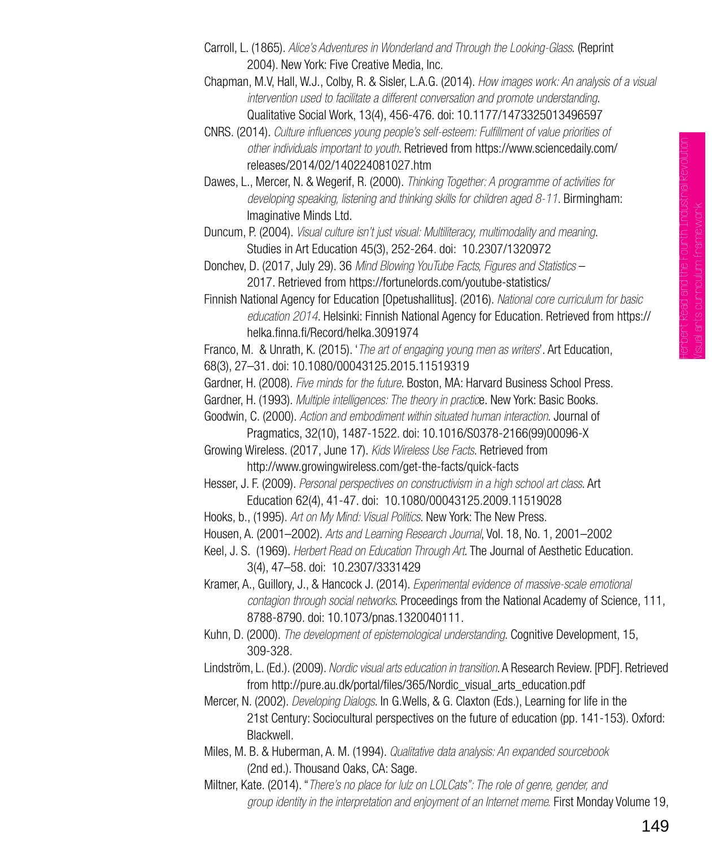- Carroll, L. (1865). *Alice's Adventures in Wonderland and Through the Looking-Glass*. (Reprint 2004). New York: Five Creative Media, Inc.
- Chapman, M.V, Hall, W.J., Colby, R. & Sisler, L.A.G. (2014). *How images work: An analysis of a visual intervention used to facilitate a different conversation and promote understanding*. Qualitative Social Work, 13(4), 456-476. doi: 10.1177/1473325013496597
- CNRS. (2014). *Culture influences young people's self-esteem: Fulfillment of value priorities of other individuals important to youth*. Retrieved from https://www.sciencedaily.com/ releases/2014/02/140224081027.htm
- Dawes, L., Mercer, N. & Wegerif, R. (2000). *Thinking Together: A programme of activities for developing speaking, listening and thinking skills for children aged 8-11*. Birmingham: Imaginative Minds Ltd.
- Duncum, P. (2004). *Visual culture isn't just visual: Multiliteracy, multimodality and meaning*. Studies in Art Education 45(3), 252-264. doi: 10.2307/1320972
- Donchev, D. (2017, July 29). 36 *Mind Blowing YouTube Facts, Figures and Statistics* 2017. Retrieved from https://fortunelords.com/youtube-statistics/
- Finnish National Agency for Education [Opetushallitus]. (2016). *National core curriculum for basic education 2014*. Helsinki: Finnish National Agency for Education. Retrieved from https:// helka.finna.fi/Record/helka.3091974

Franco, M. & Unrath, K. (2015). '*The art of engaging young men as writers*'. Art Education, 68(3), 27–31. doi: 10.1080/00043125.2015.11519319

Gardner, H. (2008). *Five minds for the future*. Boston, MA: Harvard Business School Press.

Gardner, H. (1993). *Multiple intelligences: The theory in practic*e. New York: Basic Books.

Goodwin, C. (2000). *Action and embodiment within situated human interaction*. Journal of Pragmatics, 32(10), 1487-1522. doi: 10.1016/S0378-2166(99)00096-X

Growing Wireless. (2017, June 17). *Kids Wireless Use Facts*. Retrieved from http://www.growingwireless.com/get-the-facts/quick-facts

Hesser, J. F. (2009). *Personal perspectives on constructivism in a high school art class*. Art Education 62(4), 41-47. doi: 10.1080/00043125.2009.11519028

Hooks, b., (1995). *Art on My Mind: Visual Politics*. New York: The New Press.

Housen, A. (2001–2002). *Arts and Learning Research Journal*, Vol. 18, No. 1, 2001–2002

Keel, J. S. (1969). *Herbert Read on Education Through Art*. The Journal of Aesthetic Education. 3(4), 47–58. doi: 10.2307/3331429

- Kramer, A., Guillory, J., & Hancock J. (2014). *Experimental evidence of massive-scale emotional contagion through social networks*. Proceedings from the National Academy of Science, 111, 8788-8790. doi: 10.1073/pnas.1320040111.
- Kuhn, D. (2000). *The development of epistemological understanding*. Cognitive Development, 15, 309-328.

Lindström, L. (Ed.). (2009). *Nordic visual arts education in transition*. A Research Review. [PDF]. Retrieved from http://pure.au.dk/portal/files/365/Nordic\_visual\_arts\_education.pdf

- Mercer, N. (2002). *Developing Dialogs*. In G.Wells, & G. Claxton (Eds.), Learning for life in the 21st Century: Sociocultural perspectives on the future of education (pp. 141-153). Oxford: Blackwell.
- Miles, M. B. & Huberman, A. M. (1994). *Qualitative data analysis: An expanded sourcebook*  (2nd ed.). Thousand Oaks, CA: Sage.

Miltner, Kate. (2014). "*There's no place for lulz on LOLCats": The role of genre, gender, and group identity in the interpretation and enjoyment of an Internet meme.* First Monday Volume 19,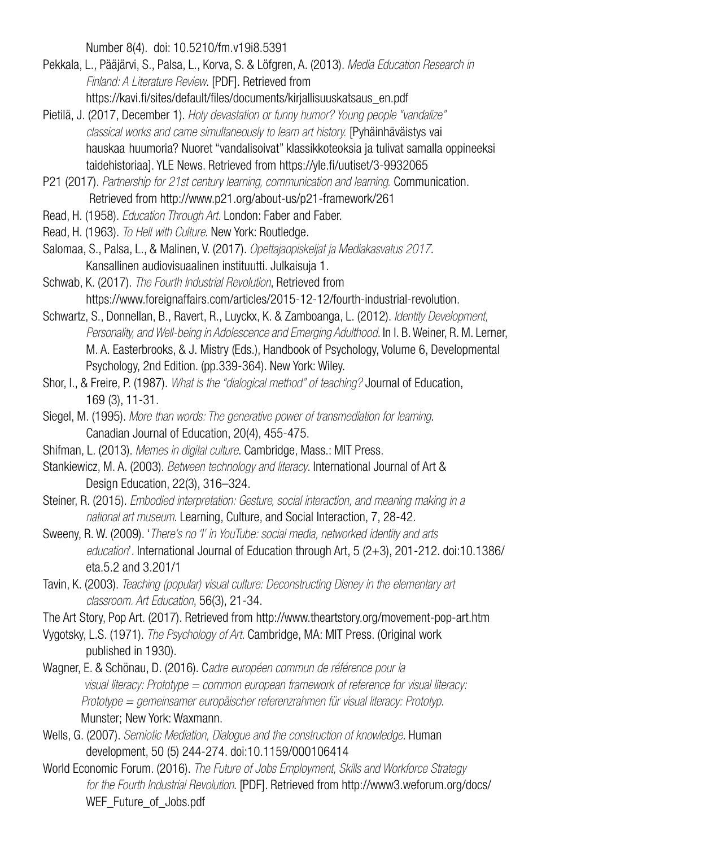Number 8(4). doi: 10.5210/fm.v19i8.5391

- Pekkala, L., Pääjärvi, S., Palsa, L., Korva, S. & Löfgren, A. (2013). *Media Education Research in Finland: A Literature Review*. [PDF]. Retrieved from https://kavi.fi/sites/default/files/documents/kirjallisuuskatsaus\_en.pdf
- Pietilä, J. (2017, December 1). *Holy devastation or funny humor? Young people "vandalize" classical works and came simultaneously to learn art history.* [Pyhäinhäväistys vai hauskaa huumoria? Nuoret "vandalisoivat" klassikkoteoksia ja tulivat samalla oppineeksi taidehistoriaa]. YLE News. Retrieved from https://yle.fi/uutiset/3-9932065

P21 (2017). *Partnership for 21st century learning, communication and learning.* Communication. Retrieved from http://www.p21.org/about-us/p21-framework/261

- Read, H. (1958). *Education Through Art.* London: Faber and Faber.
- Read, H. (1963). *To Hell with Culture*. New York: Routledge.
- Salomaa, S., Palsa, L., & Malinen, V. (2017). *Opettajaopiskeljat ja Mediakasvatus 2017*. Kansallinen audiovisuaalinen instituutti. Julkaisuja 1.
- Schwab, K. (2017). *The Fourth Industrial Revolution*, Retrieved from https://www.foreignaffairs.com/articles/2015-12-12/fourth-industrial-revolution.
- Schwartz, S., Donnellan, B., Ravert, R., Luyckx, K. & Zamboanga, L. (2012). *Identity Development, Personality, and Well-being in Adolescence and Emerging Adulthood*. In I. B. Weiner, R. M. Lerner, M. A. Easterbrooks, & J. Mistry (Eds.), Handbook of Psychology, Volume 6, Developmental Psychology, 2nd Edition. (pp.339-364). New York: Wiley.
- Shor, I., & Freire, P. (1987). *What is the "dialogical method" of teaching?* Journal of Education, 169 (3), 11-31.
- Siegel, M. (1995). *More than words: The generative power of transmediation for learning*. Canadian Journal of Education, 20(4), 455-475.
- Shifman, L. (2013). *Memes in digital culture*. Cambridge, Mass.: MIT Press.
- Stankiewicz, M. A. (2003). *Between technology and literacy*. International Journal of Art & Design Education, 22(3), 316–324.
- Steiner, R. (2015). *Embodied interpretation: Gesture, social interaction, and meaning making in a national art museum*. Learning, Culture, and Social Interaction, 7, 28-42.
- Sweeny, R. W. (2009). '*There's no 'I' in YouTube: social media, networked identity and arts education*'. International Journal of Education through Art, 5 (2+3), 201-212. doi:10.1386/ eta.5.2 and 3.201/1
- Tavin, K. (2003). *Teaching (popular) visual culture: Deconstructing Disney in the elementary art classroom. Art Education*, 56(3), 21-34.
- The Art Story, Pop Art. (2017). Retrieved from http://www.theartstory.org/movement-pop-art.htm
- Vygotsky, L.S. (1971). *The Psychology of Art*. Cambridge, MA: MIT Press. (Original work published in 1930).
- Wagner, E. & Schönau, D. (2016). C*adre européen commun de référence pour la visual literacy: Prototype = common european framework of reference for visual literacy: Prototype = gemeinsamer europäischer referenzrahmen für visual literacy: Prototyp*. Munster; New York: Waxmann.
- Wells, G. (2007). *Semiotic Mediation, Dialogue and the construction of knowledge*. Human development, 50 (5) 244-274. doi:10.1159/000106414
- World Economic Forum. (2016). *The Future of Jobs Employment, Skills and Workforce Strategy for the Fourth Industrial Revolution*. [PDF]. Retrieved from http://www3.weforum.org/docs/ WEF Future of Jobs.pdf